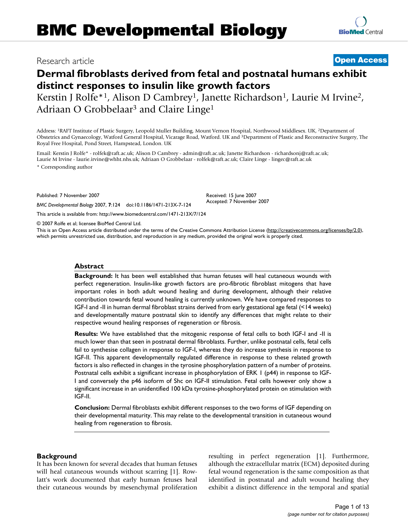# **Dermal fibroblasts derived from fetal and postnatal humans exhibit distinct responses to insulin like growth factors**

Kerstin J Rolfe<sup>\*1</sup>, Alison D Cambrey<sup>1</sup>, Janette Richardson<sup>1</sup>, Laurie M Irvine<sup>2</sup>, Adriaan O Grobbelaar<sup>3</sup> and Claire Linge<sup>1</sup>

Address: 1RAFT Institute of Plastic Surgery, Leopold Muller Building, Mount Vernon Hospital, Northwood Middlesex. UK, 2Department of Obstetrics and Gynaecology, Watford General Hospital, Vicarage Road, Watford. UK and 3Department of Plastic and Reconstructive Surgery, The Royal Free Hospital, Pond Street, Hampstead, London. UK

Email: Kerstin J Rolfe\* - rolfek@raft.ac.uk; Alison D Cambrey - admin@raft.ac.uk; Janette Richardson - richardsonj@raft.ac.uk; Laurie M Irvine - laurie.irvine@whht.nhs.uk; Adriaan O Grobbelaar - rolfek@raft.ac.uk; Claire Linge - lingec@raft.ac.uk \* Corresponding author

Published: 7 November 2007

Received: 15 June 2007 Accepted: 7 November 2007

[This article is available from: http://www.biomedcentral.com/1471-213X/7/124](http://www.biomedcentral.com/1471-213X/7/124)

*BMC Developmental Biology* 2007, **7**:124 doi:10.1186/1471-213X-7-124

© 2007 Rolfe et al; licensee BioMed Central Ltd.

This is an Open Access article distributed under the terms of the Creative Commons Attribution License [\(http://creativecommons.org/licenses/by/2.0\)](http://creativecommons.org/licenses/by/2.0), which permits unrestricted use, distribution, and reproduction in any medium, provided the original work is properly cited.

#### **Abstract**

**Background:** It has been well established that human fetuses will heal cutaneous wounds with perfect regeneration. Insulin-like growth factors are pro-fibrotic fibroblast mitogens that have important roles in both adult wound healing and during development, although their relative contribution towards fetal wound healing is currently unknown. We have compared responses to IGF-I and -II in human dermal fibroblast strains derived from early gestational age fetal (<14 weeks) and developmentally mature postnatal skin to identify any differences that might relate to their respective wound healing responses of regeneration or fibrosis.

**Results:** We have established that the mitogenic response of fetal cells to both IGF-I and -II is much lower than that seen in postnatal dermal fibroblasts. Further, unlike postnatal cells, fetal cells fail to synthesise collagen in response to IGF-I, whereas they do increase synthesis in response to IGF-II. This apparent developmentally regulated difference in response to these related growth factors is also reflected in changes in the tyrosine phosphorylation pattern of a number of proteins. Postnatal cells exhibit a significant increase in phosphorylation of ERK 1 (p44) in response to IGF-I and conversely the p46 isoform of Shc on IGF-II stimulation. Fetal cells however only show a significant increase in an unidentified 100 kDa tyrosine-phosphorylated protein on stimulation with IGF-II.

**Conclusion:** Dermal fibroblasts exhibit different responses to the two forms of IGF depending on their developmental maturity. This may relate to the developmental transition in cutaneous wound healing from regeneration to fibrosis.

#### **Background**

It has been known for several decades that human fetuses will heal cutaneous wounds without scarring [1]. Rowlatt's work documented that early human fetuses heal their cutaneous wounds by mesenchymal proliferation resulting in perfect regeneration [1]. Furthermore, although the extracellular matrix (ECM) deposited during fetal wound regeneration is the same composition as that identified in postnatal and adult wound healing they exhibit a distinct difference in the temporal and spatial

# Research article **[Open Access](http://www.biomedcentral.com/info/about/charter/)**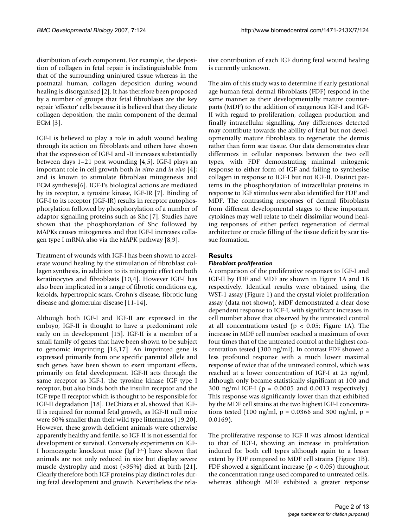distribution of each component. For example, the deposition of collagen in fetal repair is indistinguishable from that of the surrounding uninjured tissue whereas in the postnatal human, collagen deposition during wound healing is disorganised [2]. It has therefore been proposed by a number of groups that fetal fibroblasts are the key repair 'effector' cells because it is believed that they dictate collagen deposition, the main component of the dermal ECM [3].

IGF-I is believed to play a role in adult wound healing through its action on fibroblasts and others have shown that the expression of IGF-I and -II increases substantially between days 1–21 post wounding [4,5]. IGF-I plays an important role in cell growth both *in vitro* and *in vivo* [4]; and is known to stimulate fibroblast mitogenesis and ECM synthesis[6]. IGF-I's biological actions are mediated by its receptor, a tyrosine kinase, IGF-IR [7]. Binding of IGF-I to its receptor (IGF-IR) results in receptor autophosphorylation followed by phosphorylation of a number of adaptor signalling proteins such as Shc [7]. Studies have shown that the phosphorylation of Shc followed by MAPKs causes mitogenesis and that IGF-I increases collagen type I mRNA also via the MAPK pathway [8,9].

Treatment of wounds with IGF-I has been shown to accelerate wound healing by the stimulation of fibroblast collagen synthesis, in addition to its mitogenic effect on both keratinocytes and fibroblasts [10,4]. However IGF-I has also been implicated in a range of fibrotic conditions e.g. keloids, hypertrophic scars, Crohn's disease, fibrotic lung disease and glomerular disease [11-14].

Although both IGF-I and IGF-II are expressed in the embryo, IGF-II is thought to have a predominant role early on in development [15]. IGF-II is a member of a small family of genes that have been shown to be subject to genomic imprinting [16,17]. An imprinted gene is expressed primarily from one specific parental allele and such genes have been shown to exert important effects, primarily on fetal development. IGF-II acts through the same receptor as IGF-I, the tyrosine kinase IGF type I receptor, but also binds both the insulin receptor and the IGF type II receptor which is thought to be responsible for IGF-II degradation [18]. DeChiara et al, showed that IGF-II is required for normal fetal growth, as IGF-II null mice were 60% smaller than their wild type littermates [19,20]. However, these growth deficient animals were otherwise apparently healthy and fertile, so IGF-II is not essential for development or survival. Conversely experiments on IGF-I homozygote knockout mice (Igf  $I^{-}$ ) have shown that animals are not only reduced in size but display severe muscle dystrophy and most (>95%) died at birth [21]. Clearly therefore both IGF proteins play distinct roles during fetal development and growth. Nevertheless the relative contribution of each IGF during fetal wound healing is currently unknown.

The aim of this study was to determine if early gestational age human fetal dermal fibroblasts (FDF) respond in the same manner as their developmentally mature counterparts (MDF) to the addition of exogenous IGF-I and IGF-II with regard to proliferation, collagen production and finally intracellular signalling. Any differences detected may contribute towards the ability of fetal but not developmentally mature fibroblasts to regenerate the dermis rather than form scar tissue. Our data demonstrates clear differences in cellular responses between the two cell types, with FDF demonstrating minimal mitogenic response to either form of IGF and failing to synthesise collagen in response to IGF-I but not IGF-II. Distinct patterns in the phosphorylation of intracellular proteins in response to IGF stimulus were also identified for FDF and MDF. The contrasting responses of dermal fibroblasts from different developmental stages to these important cytokines may well relate to their dissimilar wound healing responses of either perfect regeneration of dermal architecture or crude filling of the tissue deficit by scar tissue formation.

# **Results**

# *Fibroblast proliferation*

A comparison of the proliferative responses to IGF-I and IGF-II by FDF and MDF are shown in Figure 1A and 1B respectively. Identical results were obtained using the WST-1 assay (Figure 1) and the crystal violet proliferation assay (data not shown). MDF demonstrated a clear dose dependent response to IGF-I, with significant increases in cell number above that observed by the untreated control at all concentrations tested ( $p < 0.05$ ; Figure 1A). The increase in MDF cell number reached a maximum of over four times that of the untreated control at the highest concentration tested (300 ng/ml). In contrast FDF showed a less profound response with a much lower maximal response of twice that of the untreated control, which was reached at a lower concentration of IGF-I at 25 ng/ml, although only became statistically significant at 100 and 300 ng/ml IGF-I (p = 0.0005 and 0.0013 respectively). This response was significantly lower than that exhibited by the MDF cell strains at the two highest IGF-I concentrations tested (100 ng/ml,  $p = 0.0366$  and 300 ng/ml,  $p =$ 0.0169).

The proliferative response to IGF-II was almost identical to that of IGF-I, showing an increase in proliferation induced for both cell types although again to a lesser extent by FDF compared to MDF cell strains (Figure 1B). FDF showed a significant increase ( $p < 0.05$ ) throughout the concentration range used compared to untreated cells, whereas although MDF exhibited a greater response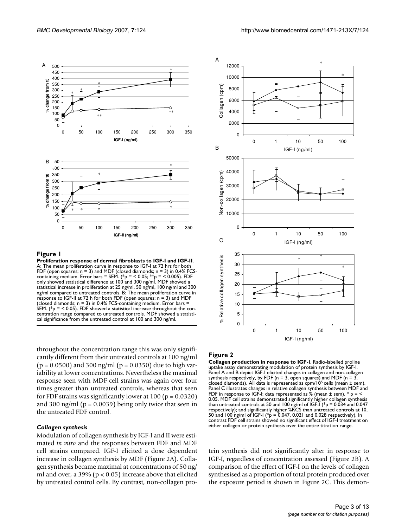

#### **Figure I**

**Proliferation response of dermal fibroblasts to IGF-I and IGF-II**. A: The mean proliferation curve in response to IGF-I at 72 hrs for both FDF (open squares;  $n = 3$ ) and MDF (closed diamonds;  $n = 3$ ) in 0.4% FCScontaining medium. Error bars = SEM. (\*p = < 0.05; \*\*p = < 0.005). FDF only showed statistical difference at 100 and 300 ng/ml. MDF showed a statistical increase in proliferation at 25 ng/ml, 50 ng/ml, 100 ng/ml and 300 ng/ml compared to untreated controls. B: The mean proliferation curve in response to IGF-II at 72 h for both FDF (open squares; n = 3) and MDF (closed diamonds;  $n = 3$ ) in 0.4% FCS-containing medium. Error bars = SEM. ( ${}^*p$  = < 0.05). FDF showed a statistical increase throughout the concentration range compared to untreated controls. MDF showed a statistical significance from the untreated control at 100 and 300 ng/ml.

throughout the concentration range this was only significantly different from their untreated controls at 100 ng/ml  $(p = 0.0500)$  and 300 ng/ml  $(p = 0.0350)$  due to high variability at lower concentrations. Nevertheless the maximal response seen with MDF cell strains was again over four times greater than untreated controls, whereas that seen for FDF strains was significantly lower at  $100$  ( $p = 0.0320$ ) and 300 ng/ml ( $p = 0.0039$ ) being only twice that seen in the untreated FDF control.

#### *Collagen synthesis*

Modulation of collagen synthesis by IGF-I and II were estimated *in vitro* and the responses between FDF and MDF cell strains compared. IGF-I elicited a dose dependent increase in collagen synthesis by MDF (Figure 2A). Collagen synthesis became maximal at concentrations of 50 ng/ ml and over, a 39% (p < 0.05) increase above that elicited by untreated control cells. By contrast, non-collagen pro-



#### **Figure 2**

**Collagen production in response to IGF-I**. Radio-labelled proline uptake assay demonstrating modulation of protein synthesis by IGF-I. Panel A and B depict IGF-I elicited changes in collagen and non-collagen synthesis respectively, by FDF (n = 3, open squares) and MDF (n = 3,<br>closed diamonds). All data is represented as cpm/10<sup>5</sup> cells (mean ± sem). Panel C illustrates changes in relative collagen synthesis between MDF and FDF in response to IGF-I; data represented as % (mean ± sem). \* p = < 0.05. MDF cell strains demonstrated significantly higher collagen synthesis than untreated controls at 50 and 100 ng/ml of IGF-I ( ${}^{*}$ p = 0.034 and 0.047 respectively); and significantly higher %RCS than untreated controls at 10, 50 and 100 ng/ml of IGF-I (\*p = 0.047, 0.021 and 0.028 respectively). In contrast FDF cell strains showed no significant effect of IGF-I treatment on either collagen or protein synthesis over the entire titration range.

tein synthesis did not significantly alter in response to IGF-I, regardless of concentration assessed (Figure 2B). A comparison of the effect of IGF-I on the levels of collagen synthesised as a proportion of total protein produced over the exposure period is shown in Figure 2C. This demon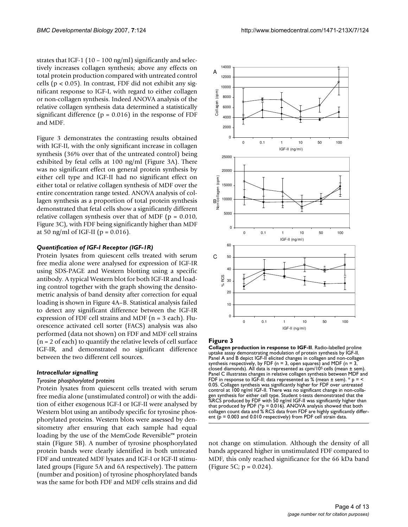strates that IGF-1 (10 – 100 ng/ml) significantly and selectively increases collagen synthesis; above any effects on total protein production compared with untreated control cells ( $p < 0.05$ ). In contrast, FDF did not exhibit any significant response to IGF-I, with regard to either collagen or non-collagen synthesis. Indeed ANOVA analysis of the relative collagen synthesis data determined a statistically significant difference ( $p = 0.016$ ) in the response of FDF and MDF.

Figure 3 demonstrates the contrasting results obtained with IGF-II, with the only significant increase in collagen synthesis (36% over that of the untreated control) being exhibited by fetal cells at 100 ng/ml (Figure 3A). There was no significant effect on general protein synthesis by either cell type and IGF-II had no significant effect on either total or relative collagen synthesis of MDF over the entire concentration range tested. ANOVA analysis of collagen synthesis as a proportion of total protein synthesis demonstrated that fetal cells show a significantly different relative collagen synthesis over that of MDF ( $p = 0.010$ , Figure 3C), with FDF being significantly higher than MDF at 50 ng/ml of IGF-II ( $p = 0.016$ ).

#### *Quantification of IGF-I Receptor (IGF-1R)*

Protein lysates from quiescent cells treated with serum free media alone were analysed for expression of IGF-IR using SDS-PAGE and Western blotting using a specific antibody. A typical Western blot for both IGF-IR and loading control together with the graph showing the densitometric analysis of band density after correction for equal loading is shown in Figure 4A–B. Statistical analysis failed to detect any significant difference between the IGF-IR expression of FDF cell strains and MDF (n = 3 each). Fluorescence activated cell sorter (FACS) analysis was also performed (data not shown) on FDF and MDF cell strains  $(n = 2 \text{ of each})$  to quantify the relative levels of cell surface IGF-IR, and demonstrated no significant difference between the two different cell sources.

#### *Intracellular signalling*

### *Tyrosine phosphorylated proteins*

Protein lysates from quiescent cells treated with serum free media alone (unstimulated control) or with the addition of either exogenous IGF-I or IGF-II were analysed by Western blot using an antibody specific for tyrosine phosphorylated proteins. Western blots were assessed by densitometry after ensuring that each sample had equal loading by the use of the MemCode Reversible™ protein stain (Figure 5B). A number of tyrosine phosphorylated protein bands were clearly identified in both untreated FDF and untreated MDF lysates and IGF-I or IGF-II stimulated groups (Figure 5A and 6A respectively). The pattern (number and position) of tyrosine phosphorylated bands was the same for both FDF and MDF cells strains and did



#### **Figure 3**

**Collagen production in response to IGF-II**. Radio-labelled proline uptake assay demonstrating modulation of protein synthesis by IGF-II. Panel A and B depict IGF-II elicited changes in collagen and non-collagen synthesis respectively, by FDF ( $n = 3$ , open squares) and MDF ( $n = 3$ , closed diamonds). All data is represented as  $c$ pm/10<sup>5</sup> cells (mean  $\pm$  sem). Panel C illustrates changes in relative collagen synthesis between MDF and FDF in response to IGF-II; data represented as % (mean  $\pm$  sem).  $*$  p =  $\le$ 0.05. Collagen synthesis was significantly higher for FDF over untreated control at 100 ng/ml IGF-II. There was no significant change in non-collagen synthesis for either cell type. Student t-tests demonstrated that the %RCS produced by FDF with 50 ng/ml IGF-II was significantly higher than that produced by PDF ( ${}^*p = 0.016$ ). ANOVA analysis showed that both collagen count data and % RCS data from FDF are highly significantly different (p = 0.003 and 0.010 respectively) from PDF cell strain data.

not change on stimulation. Although the density of all bands appeared higher in unstimulated FDF compared to MDF, this only reached significance for the 66 kDa band (Figure 5C;  $p = 0.024$ ).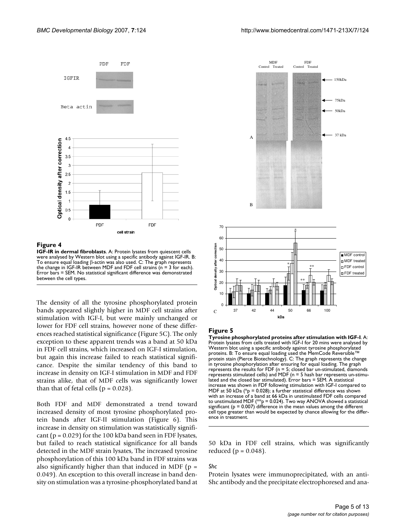



#### **Figure 4**

**IGF-IR in dermal fibroblasts**. A: Protein lysates from quiescent cells were analysed by Western blot using a specific antibody against IGF-IR. B: To ensure equal loading β-actin was also used. C: The graph represents the change in IGF-IR between MDF and FDF cell strains ( $n = 3$  for each). Error bars = SEM. No statistical significant difference was demonstrated between the cell types.

The density of all the tyrosine phosphorylated protein bands appeared slightly higher in MDF cell strains after stimulation with IGF-I, but were mainly unchanged or lower for FDF cell strains, however none of these differences reached statistical significance (Figure 5C). The only exception to these apparent trends was a band at 50 kDa in FDF cell strains, which increased on IGF-I stimulation, but again this increase failed to reach statistical significance. Despite the similar tendency of this band to increase in density on IGF-I stimulation in MDF and FDF strains alike, that of MDF cells was significantly lower than that of fetal cells ( $p = 0.028$ ).

Both FDF and MDF demonstrated a trend toward increased density of most tyrosine phosphorylated protein bands after IGF-II stimulation (Figure 6). This increase in density on stimulation was statistically significant ( $p = 0.029$ ) for the 100 kDa band seen in FDF lysates, but failed to reach statistical significance for all bands detected in the MDF strain lysates, The increased tyrosine phosphorylation of this 100 kDa band in FDF strains was also significantly higher than that induced in MDF ( $p =$ 0.049). An exception to this overall increase in band density on stimulation was a tyrosine-phosphorylated band at



#### **Figure 5**

**Tyrosine phosphorylated proteins after stimulation with IGF-I**. A: Protein lysates from cells treated with IGF-I for 20 mins were analysed by Western blot using a specific antibody against tyrosine phosphorylated<br>proteins. B: To ensure equal loading used the MemCode Reversible™ protein stain (Pierce Biotechnology). C: The graph represents the change in tyrosine phosphorylation after ensuring for equal loading. The graph represents the results for FDF (n = 5; closed bar un-stimulated, diamonds represents stimulated cells) and MDF (n = 5 hash bar represents un-stimulated and the closed bar stimulated). Error bars = SEM. A statistical increase was shown in FDF following stimulation with IGF-I compared to MDF at 50 kDa ( ${}^*\mathsf{p}$  = 0.028); a further statistical difference was shown with an increase of a band at 66 kDa in unstimulated FDF cells compared to unstimulated MDF ( $^{**}p = 0.024$ ). Two way ANOVA showed a statistical significant ( $p = 0.007$ ) difference in the mean values among the different cell type greater than would be expected by chance allowing for the difference in treatment.

50 kDa in FDF cell strains, which was significantly reduced ( $p = 0.048$ ).

#### *Shc*

Protein lysates were immunoprecipitated, with an anti-Shc antibody and the precipitate electrophoresed and ana-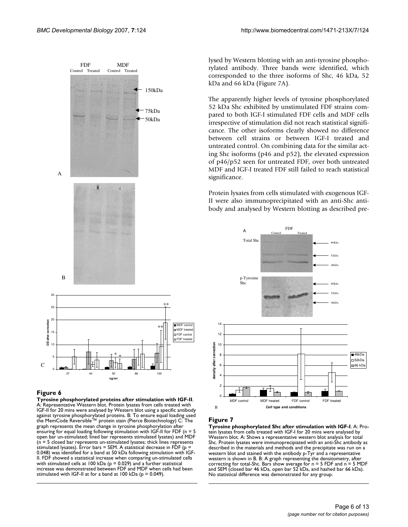

#### Figure 6

**Tyrosine phosphorylated proteins after stimulation with IGF-II**. A: Representative Western blot. Protein lysates from cells treated with IGF-II for 20 mins were analysed by Western blot using a specific antibody against tyrosine phosphorylated proteins. B: To ensure equal loading used the MemCode Reversible™ protein stain (Pierce Biotechnology) C: The graph represents the mean change in tyrosine phosphorylation after ensuring for equal loading following stimulation with IGF-II for FDF ( $n = 5$ open bar un-stimulated; lined bar represents stimulated lysates) and MDF  $(n = 5$  closed bar represents un-stimulated lysates; thick lines represents stimulated lysates). Error bars = SEM. A statistical decrease in FDF ( $p =$ 0.048) was identified for a band at 50 kDa following stimulation with IGF-II. FDF showed a statistical increase when comparing un-stimulated cells with stimulated cells at 100 kDa ( $p = 0.029$ ) and a further statistical increase was demonstrated between FDF and MDF when cells had been stimulated with IGF-II at for a band at 100 kDa ( $p = 0.049$ ).

lysed by Western blotting with an anti-tyrosine phosphorylated antibody. Three bands were identified, which corresponded to the three isoforms of Shc, 46 kDa, 52 kDa and 66 kDa (Figure 7A).

The apparently higher levels of tyrosine phosphorylated 52 kDa Shc exhibited by unstimulated FDF strains compared to both IGF-I stimulated FDF cells and MDF cells irrespective of stimulation did not reach statistical significance. The other isoforms clearly showed no difference between cell strains or between IGF-I treated and untreated control. On combining data for the similar acting Shc isoforms (p46 and p52), the elevated expression of p46/p52 seen for untreated FDF, over both untreated MDF and IGF-I treated FDF still failed to reach statistical significance.

Protein lysates from cells stimulated with exogenous IGF-II were also immunoprecipitated with an anti-Shc antibody and analysed by Western blotting as described pre-



#### **Figure 7**

**Tyrosine phosphorylated Shc after stimulation with IGF-I**. A: Protein lysates from cells treated with IGF-I for 20 mins were analysed by Western blot. A: Shows a representative western blot analysis for total Shc. Protein lysates were immunoprecipiated with an anti-Shc antibody as described in the materials and methods and the precipitate was run on a western blot and stained with the antibody p-Tyr and a representative western is shown in B. B: A graph representing the densitometry, after correcting for total-Shc. Bars show average for  $n = 5$  FDF and  $n = 5$  MDF and SEM (closed bar 46 kDa, open bar 52 kDa, and hashed bar 66 kDa). No statistical difference was demonstrated for any group.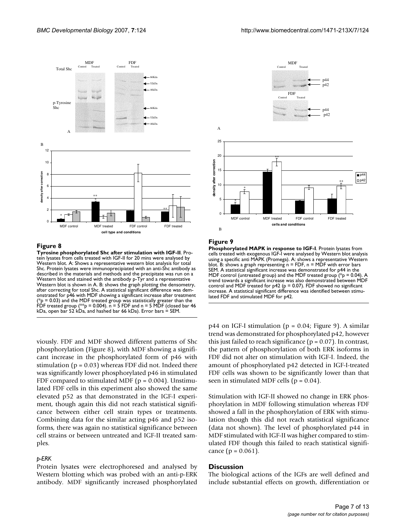

#### Figure 8

**Tyrosine phosphorylated Shc after stimulation with IGF-II**. Protein lysates from cells treated with IGF-II for 20 mins were analysed by Western blot. A: Shows a representative western blot analysis for total Shc. Protein lysates were immunoprecipiated with an anti-Shc antibody as described in the materials and methods and the precipitate was run on a Western blot and stained with the antibody p-Tyr and a representative Western blot is shown in A. B: shows the graph plotting the densometry, after correcting for total Shc. A statistical significant difference was demonstrated for p46 with MDF showing a significant increase after treatment (\*p = 0.03) and the MDF treated group was statistically greater than the FDF treated group (\*\*p = 0.004). n = 5 FDF and n = 5 MDF (closed bar 46 kDa, open bar 52 kDa, and hashed bar 66 kDa). Error bars = SEM.

viously. FDF and MDF showed different patterns of Shc phosphorylation (Figure 8), with MDF showing a significant increase in the phosphorylated form of p46 with stimulation ( $p = 0.03$ ) whereas FDF did not. Indeed there was significantly lower phosphorylated p46 in stimulated FDF compared to stimulated MDF ( $p = 0.004$ ). Unstimulated FDF cells in this experiment also showed the same elevated p52 as that demonstrated in the IGF-I experiment, though again this did not reach statistical significance between either cell strain types or treatments. Combining data for the similar acting p46 and p52 isoforms, there was again no statistical significance between cell strains or between untreated and IGF-II treated samples.

#### *p-ERK*

Protein lysates were electrophoresed and analysed by Western blotting which was probed with an anti-p-ERK antibody. MDF significantly increased phosphorylated



#### **Figure 9**

**Phosphorylated MAPK in response to IGF-I**. Protein lysates from cells treated with exogenous IGF-I were analysed by Western blot analysis using a specific anti MAPK (Promega). A: shows a representative Western blot. B: shows a graph representing  $n = FDF$ ,  $n = MDF$  with error bars SEM. A statistical significant increase was demonstrated for p44 in the MDF control (untreated group) and the MDF treated group ( $p = 0.04$ ) trend towards a significant increase was also demonstrated between MDF control and MDF treated for  $p42$  ( $p = 0.07$ ). FDF showed no significant increase. A statistical significant difference was identified between stimulated FDF and stimulated MDF for p42.

 $p44$  on IGF-I stimulation ( $p = 0.04$ ; Figure 9). A similar trend was demonstrated for phosphorylated p42, however this just failed to reach significance ( $p = 0.07$ ). In contrast, the pattern of phosphorylation of both ERK isoforms in FDF did not alter on stimulation with IGF-I. Indeed, the amount of phosphorylated p42 detected in IGF-I-treated FDF cells was shown to be significantly lower than that seen in stimulated MDF cells ( $p = 0.04$ ).

Stimulation with IGF-II showed no change in ERK phosphorylation in MDF following stimulation whereas FDF showed a fall in the phosphorylation of ERK with stimulation though this did not reach statistical significance (data not shown). The level of phosphorylated p44 in MDF stimulated with IGF-II was higher compared to stimulated FDF though this failed to reach statistical significance  $(p = 0.061)$ .

#### **Discussion**

The biological actions of the IGFs are well defined and include substantial effects on growth, differentiation or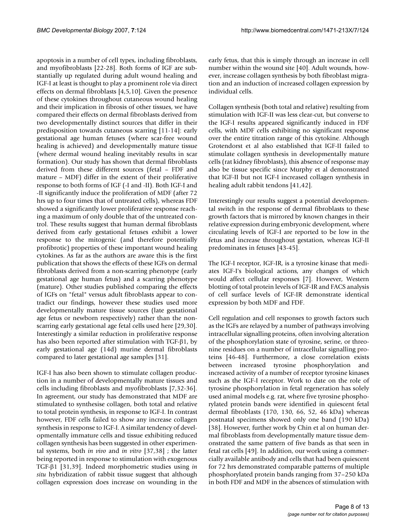apoptosis in a number of cell types, including fibroblasts, and myofibroblasts [22-28]. Both forms of IGF are substantially up regulated during adult wound healing and IGF-I at least is thought to play a prominent role via direct effects on dermal fibroblasts [4,5,10]. Given the presence of these cytokines throughout cutaneous wound healing and their implication in fibrosis of other tissues, we have compared their effects on dermal fibroblasts derived from two developmentally distinct sources that differ in their predisposition towards cutaneous scarring [11-14]: early gestational age human fetuses (where scar-free wound healing is achieved) and developmentally mature tissue (where dermal wound healing inevitably results in scar formation). Our study has shown that dermal fibroblasts derived from these different sources (fetal – FDF and mature – MDF) differ in the extent of their proliferative response to both forms of IGF (-I and -II). Both IGF-I and -II significantly induce the proliferation of MDF (after 72 hrs up to four times that of untreated cells), whereas FDF showed a significantly lower proliferative response reaching a maximum of only double that of the untreated control. These results suggest that human dermal fibroblasts derived from early gestational fetuses exhibit a lower response to the mitogenic (and therefore potentially profibrotic) properties of these important wound healing cytokines. As far as the authors are aware this is the first publication that shows the effects of these IGFs on dermal fibroblasts derived from a non-scarring phenotype (early gestational age human fetus) and a scarring phenotype (mature). Other studies published comparing the effects of IGFs on "fetal" versus adult fibroblasts appear to contradict our findings, however these studies used more developmentally mature tissue sources (late gestational age fetus or newborn respectively) rather than the nonscarring early gestational age fetal cells used here [29,30]. Interestingly a similar reduction in proliferative response has also been reported after stimulation with TGF-β1, by early gestational age (14d) murine dermal fibroblasts compared to later gestational age samples [31].

IGF-I has also been shown to stimulate collagen production in a number of developmentally mature tissues and cells including fibroblasts and myofibroblasts [7,32-36]. In agreement, our study has demonstrated that MDF are stimulated to synthesise collagen, both total and relative to total protein synthesis, in response to IGF-I. In contrast however, FDF cells failed to show any increase collagen synthesis in response to IGF-I. A similar tendency of developmentally immature cells and tissue exhibiting reduced collagen synthesis has been suggested in other experimental systems, both *in vivo* and *in vitro* [37,38] ; the latter being reported in response to stimulation with exogenous TGF-β1 [31,39]. Indeed morphometric studies using *in situ* hybridization of rabbit tissue suggest that although collagen expression does increase on wounding in the early fetus, that this is simply through an increase in cell number within the wound site [40]. Adult wounds, however, increase collagen synthesis by both fibroblast migration and an induction of increased collagen expression by individual cells.

Collagen synthesis (both total and relative) resulting from stimulation with IGF-II was less clear-cut, but converse to the IGF-I results appeared significantly induced in FDF cells, with MDF cells exhibiting no significant response over the entire titration range of this cytokine. Although Grotendorst et al also established that IGF-II failed to stimulate collagen synthesis in developmentally mature cells (rat kidney fibroblasts), this absence of response may also be tissue specific since Murphy et al demonstrated that IGF-II but not IGF-I increased collagen synthesis in healing adult rabbit tendons [41,42].

Interestingly our results suggest a potential developmental switch in the response of dermal fibroblasts to these growth factors that is mirrored by known changes in their relative expression during embryonic development, where circulating levels of IGF-I are reported to be low in the fetus and increase throughout gestation, whereas IGF-II predominates in fetuses [43-45].

The IGF-I receptor, IGF-IR, is a tyrosine kinase that mediates IGF-I's biological actions, any changes of which would affect cellular responses [7]. However, Western blotting of total protein levels of IGF-IR and FACS analysis of cell surface levels of IGF-IR demonstrate identical expression by both MDF and FDF.

Cell regulation and cell responses to growth factors such as the IGFs are relayed by a number of pathways involving intracellular signalling proteins, often involving alteration of the phosphorylation state of tyrosine, serine, or threonine residues on a number of intracellular signalling proteins [46-48]. Furthermore, a close correlation exists between increased tyrosine phosphorylation and increased activity of a number of receptor tyrosine kinases such as the IGF-I receptor. Work to date on the role of tyrosine phosphorylation in fetal regeneration has solely used animal models e.g. rat, where five tyrosine phosphorylated protein bands were identified in quiescent fetal dermal fibroblasts (170, 130, 66, 52, 46 kDa) whereas postnatal specimens showed only one band (190 kDa) [38]. However, further work by Chin et al on human dermal fibroblasts from developmentally mature tissue demonstrated the same pattern of five bands as that seen in fetal rat cells [49]. In addition, our work using a commercially available antibody and cells that had been quiescent for 72 hrs demonstrated comparable patterns of multiple phosphorylated protein bands ranging from 37–250 kDa in both FDF and MDF in the absences of stimulation with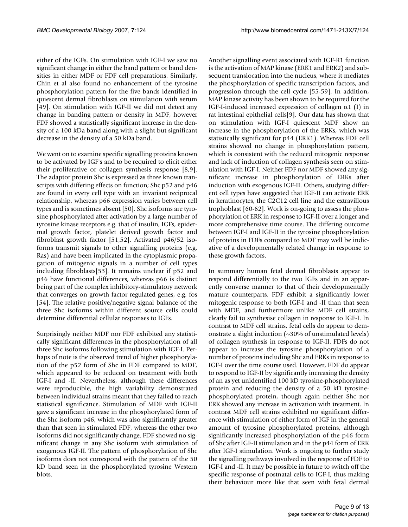either of the IGFs. On stimulation with IGF-I we saw no significant change in either the band pattern or band densities in either MDF or FDF cell preparations. Similarly, Chin et al also found no enhancement of the tyrosine phosphorylation pattern for the five bands identified in quiescent dermal fibroblasts on stimulation with serum [49]. On stimulation with IGF-II we did not detect any change in banding pattern or density in MDF, however FDF showed a statistically significant increase in the density of a 100 kDa band along with a slight but significant decrease in the density of a 50 kDa band.

We went on to examine specific signalling proteins known to be activated by IGF's and to be required to elicit either their proliferative or collagen synthesis response [8,9]. The adaptor protein Shc is expressed as three known transcripts with differing effects on function; Shc p52 and p46 are found in every cell type with an invariant reciprocal relationship, whereas p66 expression varies between cell types and is sometimes absent [50]. Shc isoforms are tyrosine phosphorylated after activation by a large number of tyrosine kinase receptors e.g. that of insulin, IGFs, epidermal growth factor, platelet derived growth factor and fibroblast growth factor [51,52]. Activated p46/52 isoforms transmit signals to other signalling proteins (e.g. Ras) and have been implicated in the cytoplasmic propagation of mitogenic signals in a number of cell types including fibroblasts[53]. It remains unclear if p52 and p46 have functional differences, whereas p66 is distinct being part of the complex inhibitory-stimulatory network that converges on growth factor regulated genes, e.g. fos [54]. The relative positive/negative signal balance of the three Shc isoforms within different source cells could determine differential cellular responses to IGFs.

Surprisingly neither MDF nor FDF exhibited any statistically significant differences in the phosphorylation of all three Shc isoforms following stimulation with IGF-I. Perhaps of note is the observed trend of higher phosphorylation of the p52 form of Shc in FDF compared to MDF, which appeared to be reduced on treatment with both IGF-I and -II. Nevertheless, although these differences were reproducible, the high variability demonstrated between individual strains meant that they failed to reach statistical significance. Stimulation of MDF with IGF-II gave a significant increase in the phosphorylated form of the Shc isoform p46, which was also significantly greater than that seen in stimulated FDF, whereas the other two isoforms did not significantly change. FDF showed no significant change in any Shc isoform with stimulation of exogenous IGF-II. The pattern of phosphorylation of Shc isoforms does not correspond with the pattern of the 50 kD band seen in the phosphorylated tyrosine Western blots.

Another signalling event associated with IGF-R1 function is the activation of MAP kinase (ERK1 and ERK2) and subsequent translocation into the nucleus, where it mediates the phosphorylation of specific transcription factors, and progression through the cell cycle [55-59]. In addition, MAP kinase activity has been shown to be required for the IGF-I-induced increased expression of collagen  $\alpha$ 1 (I) in rat intestinal epithelial cells[9]. Our data has shown that on stimulation with IGF-I quiescent MDF show an increase in the phosphorylation of the ERKs, which was statistically significant for p44 (ERK1). Whereas FDF cell strains showed no change in phosphorylation pattern, which is consistent with the reduced mitogenic response and lack of induction of collagen synthesis seen on stimulation with IGF-I. Neither FDF nor MDF showed any significant increase in phosphorylation of ERKs after induction with exogenous IGF-II. Others, studying different cell types have suggested that IGF-II can activate ERK in keratinocytes, the C2C12 cell line and the extravillous trophoblast [60-62]. Work is on-going to assess the phosphorylation of ERK in response to IGF-II over a longer and more comprehensive time course. The differing outcome between IGF-I and IGF-II in the tyrosine phosphorylation of proteins in FDFs compared to MDF may well be indicative of a developmentally related change in response to these growth factors.

In summary human fetal dermal fibroblasts appear to respond differentially to the two IGFs and in an apparently converse manner to that of their developmentally mature counterparts. FDF exhibit a significantly lower mitogenic response to both IGF-I and -II than that seen with MDF, and furthermore unlike MDF cell strains, clearly fail to synthesise collagen in response to IGF-I. In contrast to MDF cell strains, fetal cells do appear to demonstrate a slight induction  $(\sim]30\%$  of unstimulated levels) of collagen synthesis in response to IGF-II. FDFs do not appear to increase the tyrosine phosphorylation of a number of proteins including Shc and ERKs in response to IGF-I over the time course used. However, FDF do appear to respond to IGF-II by significantly increasing the density of an as yet unidentified 100 kD tyrosine-phosphorylated protein and reducing the density of a 50 kD tyrosinephosphorylated protein, though again neither Shc nor ERK showed any increase in activation with treatment. In contrast MDF cell strains exhibited no significant difference with stimulation of either form of IGF in the general amount of tyrosine phosphorylated proteins, although significantly increased phosphorylation of the p46 form of Shc after IGF-II stimulation and in the p44 form of ERK after IGF-I stimulation. Work is ongoing to further study the signalling pathways involved in the response of FDF to IGF-I and -II. It may be possible in future to switch off the specific response of postnatal cells to IGF-I, thus making their behaviour more like that seen with fetal dermal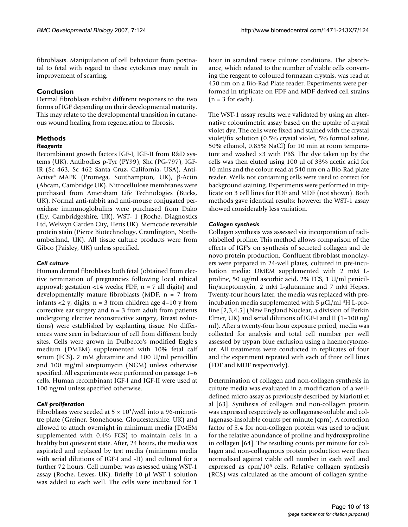fibroblasts. Manipulation of cell behaviour from postnatal to fetal with regard to these cytokines may result in improvement of scarring.

# **Conclusion**

Dermal fibroblasts exhibit different responses to the two forms of IGF depending on their developmental maturity. This may relate to the developmental transition in cutaneous wound healing from regeneration to fibrosis.

# **Methods**

# *Reagents*

Recombinant growth factors IGF-I, IGF-II from R&D systems (UK). Antibodies p-Tyr (PY99), Shc (PG-797), IGF-IR (Sc 463, Sc 462 Santa Cruz, California, USA), Anti-Active® MAPK (Promega, Southampton, UK), β-Actin (Abcam, Cambridge UK). Nitrocellulose membranes were purchased from Amersham Life Technologies (Bucks, UK). Normal anti-rabbit and anti-mouse conjugated peroxidase immunoglobulins were purchased from Dako (Ely, Cambridgeshire, UK). WST- 1 (Roche, Diagnostics Ltd, Welwyn Garden City, Herts UK). Memcode reversible protein stain (Pierce Biotechnology, Cramlington, Northumberland, UK). All tissue culture products were from Gibco (Paisley, UK) unless specified.

# *Cell culture*

Human dermal fibroblasts both fetal (obtained from elective termination of pregnancies following local ethical approval; gestation <14 weeks; FDF,  $n = 7$  all digits) and developmentally mature fibroblasts (MDF, n = 7 from infants <2 y, digits;  $n = 3$  from children age 4–10 y from corrective ear surgery and  $n = 3$  from adult from patients undergoing elective reconstructive surgery, Breast reductions) were established by explanting tissue. No differences were seen in behaviour of cell from different body sites. Cells were grown in Dulbecco's modified Eagle's medium (DMEM) supplemented with 10% fetal calf serum (FCS), 2 mM glutamine and 100 U/ml penicillin and 100 mg/ml streptomycin (NGM) unless otherwise specified. All experiments were performed on passage 1–6 cells. Human recombinant IGF-I and IGF-II were used at 100 ng/ml unless specified otherwise.

# *Cell proliferation*

Fibroblasts were seeded at  $5 \times 10^3$ /well into a 96-microtitre plate (Greiner, Stonehouse, Gloucestershire, UK) and allowed to attach overnight in minimum media (DMEM supplemented with 0.4% FCS) to maintain cells in a healthy but quiescent state. After, 24 hours, the media was aspirated and replaced by test media (minimum media with serial dilutions of IGF-I and -II) and cultured for a further 72 hours. Cell number was assessed using WST-1 assay (Roche, Lewes, UK). Briefly 10 μl WST-1 solution was added to each well. The cells were incubated for 1

hour in standard tissue culture conditions. The absorbance, which related to the number of viable cells converting the reagent to coloured formazan crystals, was read at 450 nm on a Bio-Rad Plate reader. Experiments were performed in triplicate on FDF and MDF derived cell strains  $(n = 3$  for each).

The WST-1 assay results were validated by using an alternative colourimetric assay based on the uptake of crystal violet dye. The cells were fixed and stained with the crystal violet/fix solution (0.5% crystal violet, 5% formol saline, 50% ethanol, 0.85% NaCl) for 10 min at room temperature and washed ×3 with PBS. The dye taken up by the cells was then eluted using 100 μl of 33% acetic acid for 10 mins and the colour read at 540 nm on a Bio-Rad plate reader. Wells not containing cells were used to correct for background staining. Experiments were performed in triplicate on 3 cell lines for FDF and MDF (not shown). Both methods gave identical results; however the WST-1 assay showed considerably less variation.

# *Collagen synthesis*

Collagen synthesis was assessed via incorporation of radiolabelled proline. This method allows comparison of the effects of IGF's on synthesis of secreted collagen and de novo protein production. Confluent fibroblast monolayers were prepared in 24-well plates, cultured in pre-incubation media: DMEM supplemented with 2 mM Lproline, 50 μg/ml ascorbic acid, 2% FCS, 1 U/ml penicillin/streptomycin, 2 mM L-glutamine and 7 mM Hepes. Twenty-four hours later, the media was replaced with preincubation media supplemented with 5  $\mu$ Ci/ml <sup>3</sup>H L-proline [2,3,4,5] (New England Nuclear, a division of Perkin Elmer, UK) and serial dilutions of IGF-I and II (1–100 ng/ ml). After a twenty-four hour exposure period, media was collected for analysis and total cell number per well assessed by trypan blue exclusion using a haemocytometer. All treatments were conducted in replicates of four and the experiment repeated with each of three cell lines (FDF and MDF respectively).

Determination of collagen and non-collagen synthesis in culture media was evaluated in a modification of a welldefined micro assay as previously described by Mariotti et al [63]. Synthesis of collagen and non-collagen protein was expressed respectively as collagenase-soluble and collagenase-insoluble counts per minute (cpm). A correction factor of 5.4 for non-collagen protein was used to adjust for the relative abundance of proline and hydroxyproline in collagen [64]. The resulting counts per minute for collagen and non-collagenous protein production were then normalised against viable cell number in each well and expressed as cpm/105 cells. Relative collagen synthesis (RCS) was calculated as the amount of collagen synthe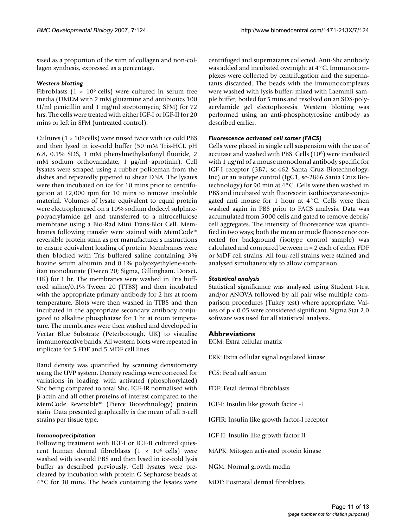sised as a proportion of the sum of collagen and non-collagen synthesis, expressed as a percentage.

### *Western blotting*

Fibroblasts (1  $\times$  10<sup>6</sup> cells) were cultured in serum free media (DMEM with 2 mM glutamine and antibiotics 100 U/ml penicillin and 1 mg/ml streptomycin; SFM) for 72 hrs. The cells were treated with either IGF-I or IGF-II for 20 mins or left in SFM (untreated control).

Cultures ( $1 \times 10^6$  cells) were rinsed twice with ice cold PBS and then lysed in ice-cold buffer (50 mM Tris-HCL pH 6.8, 0.1% SDS, 1 mM phenylmethylsufonyl fluoride, 2 mM sodium orthovanadate, 1 μg/ml aprotinin). Cell lysates were scraped using a rubber policeman from the dishes and repeatedly pipetted to shear DNA. The lysates were then incubated on ice for 10 mins prior to centrifugation at 12,000 rpm for 10 mins to remove insoluble material. Volumes of lysate equivalent to equal protein were electrophoresed on a 10% sodium dodecyl sulphatepolyacrylamide gel and transferred to a nitrocellulose membrane using a Bio-Rad Mini Trans-Blot Cell. Membranes following transfer were stained with MemCode™ reversible protein stain as per manufacturer's instructions to ensure equivalent loading of protein. Membranes were then blocked with Tris buffered saline containing 3% bovine serum albumin and 0.1% polyoxyethylene-sorbitan monolaurate (Tween 20; Sigma, Gillingham, Dorset, UK) for 1 hr. The membranes were washed in Tris buffered saline/0.1% Tween 20 (TTBS) and then incubated with the appropriate primary antibody for 2 hrs at room temperature. Blots were then washed in TTBS and then incubated in the appropriate secondary antibody conjugated to alkaline phosphatase for 1 hr at room temperature. The membranes were then washed and developed in Vectar Blue Substrate (Peterborough, UK) to visualise immunoreactive bands. All western blots were repeated in triplicate for 5 FDF and 5 MDF cell lines.

Band density was quantified by scanning densitometry using the UVP system. Density readings were corrected for variations in loading, with activated (phosphorylated) Shc being compared to total Shc, IGF-IR normalised with β-actin and all other proteins of interest compared to the MemCode Reversible™ (Pierce Biotechnology) protein stain. Data presented graphically is the mean of all 5-cell strains per tissue type.

#### *Immunoprecipitation*

Following treatment with IGF-I or IGF-II cultured quiescent human dermal fibroblasts  $(1 \times 10^6 \text{ cells})$  were washed with ice-cold PBS and then lysed in ice-cold lysis buffer as described previously. Cell lysates were precleared by incubation with protein G-Sepharose beads at 4°C for 30 mins. The beads containing the lysates were centrifuged and supernatants collected. Anti-Shc antibody was added and incubated overnight at 4°C. Immunocomplexes were collected by centrifugation and the supernatants discarded. The beads with the immunocomplexes were washed with lysis buffer, mixed with Laemmli sample buffer, boiled for 5 mins and resolved on an SDS-polyacrylamide gel electophoresis. Western blotting was performed using an anti-phosphotyrosine antibody as described earlier.

### *Fluorescence activated cell sorter (FACS)*

Cells were placed in single cell suspension with the use of accutase and washed with PBS. Cells (106) were incubated with 1 μg/ml of a mouse monoclonal antibody specific for IGF-I receptor (3B7, sc-462 Santa Cruz Biotechnology, Inc) or an isotype control (IgG1, sc-2866 Santa Cruz Biotechnology) for 90 min at 4°C. Cells were then washed in PBS and incubated with fluorescein isothiocyanate-conjugated anti mouse for 1 hour at 4°C. Cells were then washed again in PBS prior to FACS analysis. Data was accumulated from 5000 cells and gated to remove debris/ cell aggregates. The intensity of fluorescence was quantified in two ways; both the mean or mode fluorescence corrected for background (isotype control sample) was calculated and compared between n = 2 each of either FDF or MDF cell strains. All four-cell strains were stained and analysed simultaneously to allow comparison.

#### *Statistical analysis*

Statistical significance was analysed using Student t-test and/or ANOVA followed by all pair wise multiple comparison procedures (Tukey test) where appropriate. Values of p < 0.05 were considered significant. Sigma Stat 2.0 software was used for all statistical analysis.

# **Abbreviations**

ECM: Extra cellular matrix

ERK: Extra cellular signal regulated kinase

- FCS: Fetal calf serum
- FDF: Fetal dermal fibroblasts

IGF-I: Insulin like growth factor -I

IGFIR: Insulin like growth factor-I receptor

IGF-II: Insulin like growth factor II

MAPK: Mitogen activated protein kinase

NGM: Normal growth media

MDF: Postnatal dermal fibroblasts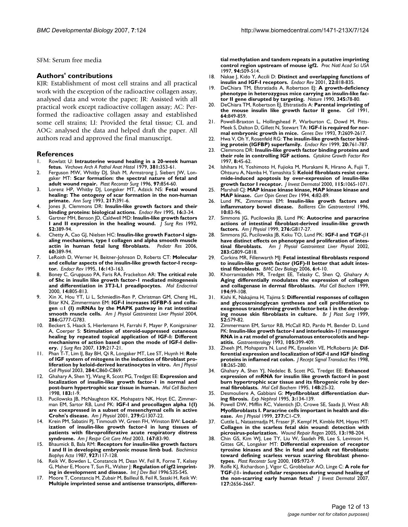SFM: Serum free media

#### **Authors' contributions**

KJR: Establishment of most cell strains and all practical work with the exception of the radioactive collagen assay, analysed data and wrote the paper; JR: Assisted with all practical work except radioactive collagen assay; AC: Performed the radioactive collagen assay and established some cell strains; LI: Provided the fetal tissue; CL and AOG: analysed the data and helped draft the paper. All authors read and approved the final manuscript.

#### **References**

- 1. Rowlatt U: **[Intrauterine wound healing in a 20-week human](http://www.ncbi.nlm.nih.gov/entrez/query.fcgi?cmd=Retrieve&db=PubMed&dopt=Abstract&list_uids=155931) [fetus.](http://www.ncbi.nlm.nih.gov/entrez/query.fcgi?cmd=Retrieve&db=PubMed&dopt=Abstract&list_uids=155931)** *Virchows Arch A Pathol Anat Histol* 1979, **381:**353-61.
- 2. Ferguson MW, Whitby DJ, Shah M, Armstrong J, Siebert JW, Longaker MT: **[Scar formation: the spectral nature of fetal and](http://www.ncbi.nlm.nih.gov/entrez/query.fcgi?cmd=Retrieve&db=PubMed&dopt=Abstract&list_uids=8628785) [adult wound repair.](http://www.ncbi.nlm.nih.gov/entrez/query.fcgi?cmd=Retrieve&db=PubMed&dopt=Abstract&list_uids=8628785)** *Plast Reconstr Surg* 1996, **97:**854-60.
- 3. Lorenz HP, Whitby DJ, Longaker MT, Adzick NS: **[Fetal wound](http://www.ncbi.nlm.nih.gov/entrez/query.fcgi?cmd=Retrieve&db=PubMed&dopt=Abstract&list_uids=8466310) [healing: The ontogeny of scar formation in the non-human](http://www.ncbi.nlm.nih.gov/entrez/query.fcgi?cmd=Retrieve&db=PubMed&dopt=Abstract&list_uids=8466310) [primate.](http://www.ncbi.nlm.nih.gov/entrez/query.fcgi?cmd=Retrieve&db=PubMed&dopt=Abstract&list_uids=8466310)** *Ann Surg* 1993, **217:**391-6.
- 4. Jones JI, Clemmons DR: **[Insulin-like growth factors and their](http://www.ncbi.nlm.nih.gov/entrez/query.fcgi?cmd=Retrieve&db=PubMed&dopt=Abstract&list_uids=7758431) [binding proteins: biological actions.](http://www.ncbi.nlm.nih.gov/entrez/query.fcgi?cmd=Retrieve&db=PubMed&dopt=Abstract&list_uids=7758431)** *Endocr Rev* 1995, **16:**3-34.
- 5. Gartner MH, Benson JD, Caldwell MD: **[Insulin-like growth factors](http://www.ncbi.nlm.nih.gov/entrez/query.fcgi?cmd=Retrieve&db=PubMed&dopt=Abstract&list_uids=1350650) [I and II expression in the healing wound.](http://www.ncbi.nlm.nih.gov/entrez/query.fcgi?cmd=Retrieve&db=PubMed&dopt=Abstract&list_uids=1350650)** *J Surg Res* 1992, **52:**389-94.
- 6. Chetty A, Cao GJ, Nielsen HC: **[Insulin-like growth Factor-I sign](http://www.ncbi.nlm.nih.gov/entrez/query.fcgi?cmd=Retrieve&db=PubMed&dopt=Abstract&list_uids=16940243)[aling mechanisms, type I collagen and alpha smooth muscle](http://www.ncbi.nlm.nih.gov/entrez/query.fcgi?cmd=Retrieve&db=PubMed&dopt=Abstract&list_uids=16940243) [actin in human fetal lung fibroblasts.](http://www.ncbi.nlm.nih.gov/entrez/query.fcgi?cmd=Retrieve&db=PubMed&dopt=Abstract&list_uids=16940243)** *Pediatr Res* 2006, **60:**389-94.
- 7. LeRoith D, Werner H, Beitner-Johnson D, Roberts CT: **[Molecular](http://www.ncbi.nlm.nih.gov/entrez/query.fcgi?cmd=Retrieve&db=PubMed&dopt=Abstract&list_uids=7540132) [and cellular aspects of the insulin-like growth factor-I recep](http://www.ncbi.nlm.nih.gov/entrez/query.fcgi?cmd=Retrieve&db=PubMed&dopt=Abstract&list_uids=7540132)[tor.](http://www.ncbi.nlm.nih.gov/entrez/query.fcgi?cmd=Retrieve&db=PubMed&dopt=Abstract&list_uids=7540132)** *Endocr Rev* 1995, **16:**143-163.
- 8. Boney C, Gruppuso PA, Faris RA, Frackelton AR: **[The critical role](http://www.ncbi.nlm.nih.gov/entrez/query.fcgi?cmd=Retrieve&db=PubMed&dopt=Abstract&list_uids=10847583) [of Shc in insulin like growth factor-1 mediated mitogenesis](http://www.ncbi.nlm.nih.gov/entrez/query.fcgi?cmd=Retrieve&db=PubMed&dopt=Abstract&list_uids=10847583) [and differentiation in 3T3-L1 preadipocytes.](http://www.ncbi.nlm.nih.gov/entrez/query.fcgi?cmd=Retrieve&db=PubMed&dopt=Abstract&list_uids=10847583)** *Mol Endocrinol* 2000, **14:**805-813.
- 9. Xin X, Hou YT, Li L, Schmiedlin-Ren P, Christman GM, Cheng HL, Bitar KN, Zimmermann EM: **IGF-I increases IGFBP-5 and collagen** α**[1 \(I\) mRNAs by the MAPK pathway in rat intestinal](http://www.ncbi.nlm.nih.gov/entrez/query.fcgi?cmd=Retrieve&db=PubMed&dopt=Abstract&list_uids=15068962) [smooth muscle cells.](http://www.ncbi.nlm.nih.gov/entrez/query.fcgi?cmd=Retrieve&db=PubMed&dopt=Abstract&list_uids=15068962)** *Am J Physiol Gastrointest Liver Physiol* 2004, **286:**G777-G783.
- 10. Beckert S, Haack S, Hierlemann H, Farrahi F, Mayer P, Konigsrainer A, Coerper S: **[Stimulation of steroid-suppressed cutaneous](http://www.ncbi.nlm.nih.gov/entrez/query.fcgi?cmd=Retrieve&db=PubMed&dopt=Abstract&list_uids=17070552) [healing by repeated topical application of IGF-I: Different](http://www.ncbi.nlm.nih.gov/entrez/query.fcgi?cmd=Retrieve&db=PubMed&dopt=Abstract&list_uids=17070552) mechanisms of action based upon the mode of IGF-I deliv[ery.](http://www.ncbi.nlm.nih.gov/entrez/query.fcgi?cmd=Retrieve&db=PubMed&dopt=Abstract&list_uids=17070552)** *J Surg Res* 2007, **139:**217-21.
- 11. Phan T-T, Lim IJ, Bay BH, Qi R, Longaker MT, Lee ST, Huynh H: **[Role](http://www.ncbi.nlm.nih.gov/entrez/query.fcgi?cmd=Retrieve&db=PubMed&dopt=Abstract&list_uids=12620890) [of IGF system of mitogens in the induction of fibroblast pro](http://www.ncbi.nlm.nih.gov/entrez/query.fcgi?cmd=Retrieve&db=PubMed&dopt=Abstract&list_uids=12620890)[liferation by keloid-derived keratinocytes in vitro.](http://www.ncbi.nlm.nih.gov/entrez/query.fcgi?cmd=Retrieve&db=PubMed&dopt=Abstract&list_uids=12620890)** *Am J Physiol Cell Physiol* 2003, **284:**C860-C869.
- 12. Ghahary A, Shen YJ, Wang R, Scott PG, Tredget EE: **[Expression and](http://www.ncbi.nlm.nih.gov/entrez/query.fcgi?cmd=Retrieve&db=PubMed&dopt=Abstract&list_uids=9655173) [localization of insulin-like growth factor-1 in normal and](http://www.ncbi.nlm.nih.gov/entrez/query.fcgi?cmd=Retrieve&db=PubMed&dopt=Abstract&list_uids=9655173) [post-burn hypertrophic scar tissue in human.](http://www.ncbi.nlm.nih.gov/entrez/query.fcgi?cmd=Retrieve&db=PubMed&dopt=Abstract&list_uids=9655173)** *Mol Cell Biochem* 1998, **183:**1-9.
- 13. Pucilowska JB, McNaughton KK, Mohapatra NK, Hoyt EC, Zimmerman EM, Sartor RB, Lund PK: **IGF-I and procollagen alpha 1(I) are coexpressed in a subset of mesenchymal cells in active Crohn's disease.** *Am J Physiol* 2001, **279:**G1307-22.
- 14. Krein PM, Sabatini PJ, Tinmouth W, Green FH, Winston BW: **[Local](http://www.ncbi.nlm.nih.gov/entrez/query.fcgi?cmd=Retrieve&db=PubMed&dopt=Abstract&list_uids=12502480)[ization of insulin-like growth factor-I in lung tissues of](http://www.ncbi.nlm.nih.gov/entrez/query.fcgi?cmd=Retrieve&db=PubMed&dopt=Abstract&list_uids=12502480) patients with fibroproliferative acute respiratory distress [syndrome.](http://www.ncbi.nlm.nih.gov/entrez/query.fcgi?cmd=Retrieve&db=PubMed&dopt=Abstract&list_uids=12502480)** *Am J Respir Crit Care Med* 2003, **167:**83-90.
- 15. Bhaumick B, Bala RM: **Receptors for insulin-like growth factors I and II in developing embryonic mouse limb bud.** *Biochimica Biophys Acta* 1987, **927:**117-128.
- 16. Reik W, Bowden L, Constancia M, Dean W, Feil R, Forne T, Kelsey G, Maher E, Moore T, Sun FL, Walter J: **[Regulation of igf2 imprint](http://www.ncbi.nlm.nih.gov/entrez/query.fcgi?cmd=Retrieve&db=PubMed&dopt=Abstract&list_uids=9087693)[ing in development and disease.](http://www.ncbi.nlm.nih.gov/entrez/query.fcgi?cmd=Retrieve&db=PubMed&dopt=Abstract&list_uids=9087693)** *Int J Dev Biol* 1996:53S-54S.
- 17. Moore T, Constancia M, Zubair M, Bailleul B, Feil R, Sasaki H, Reik W: **Multiple imprinted sense and antisense transcripts, differen-**

**tial methylation and tandem repeats in a putative imprinting control region upstream of mouse igf2.** *Proc Natl Acad Sci USA* 1997, **94:**509-514.

- 18. Nakae J, Kido Y, Accili D: **[Distinct and overlapping functions of](http://www.ncbi.nlm.nih.gov/entrez/query.fcgi?cmd=Retrieve&db=PubMed&dopt=Abstract&list_uids=11739335) [insulin and IGF-I receptors.](http://www.ncbi.nlm.nih.gov/entrez/query.fcgi?cmd=Retrieve&db=PubMed&dopt=Abstract&list_uids=11739335)** *Endocr Rev* 2001, **22:**818-835.
- 19. DeChiara TM, Efstratiadis A, Robertson EJ: **[A growth-deficiency](http://www.ncbi.nlm.nih.gov/entrez/query.fcgi?cmd=Retrieve&db=PubMed&dopt=Abstract&list_uids=2330056) [phenotype in heterozygous mice carrying an insulin-like fac](http://www.ncbi.nlm.nih.gov/entrez/query.fcgi?cmd=Retrieve&db=PubMed&dopt=Abstract&list_uids=2330056)[tor II gene disrupted by targeting.](http://www.ncbi.nlm.nih.gov/entrez/query.fcgi?cmd=Retrieve&db=PubMed&dopt=Abstract&list_uids=2330056)** *Nature* 1990, **345:**78-80.
- 20. DeChiara TM, Robertson EJ, Efstratiadis A: **[Parental imprinting of](http://www.ncbi.nlm.nih.gov/entrez/query.fcgi?cmd=Retrieve&db=PubMed&dopt=Abstract&list_uids=1997210) [the mouse insulin like growth factor II gene.](http://www.ncbi.nlm.nih.gov/entrez/query.fcgi?cmd=Retrieve&db=PubMed&dopt=Abstract&list_uids=1997210)** *Cell* 1991, **64:**849-859.
- 21. Powell-Braxton L, Hollingshead P, Warburton C, Dowd M, Pitts-Meek S, Dalton D, Gillett N, Stewart TA: **[IGF-I is required for nor](http://www.ncbi.nlm.nih.gov/entrez/query.fcgi?cmd=Retrieve&db=PubMed&dopt=Abstract&list_uids=8276243)[mal embryonic growth in mice.](http://www.ncbi.nlm.nih.gov/entrez/query.fcgi?cmd=Retrieve&db=PubMed&dopt=Abstract&list_uids=8276243)** *Genes Dev* 1993, **7:**2609-2617.
- 22. Hwa V, Oh Y, Rosenfeld RG: **[The insulin-like growth factor bind](http://www.ncbi.nlm.nih.gov/entrez/query.fcgi?cmd=Retrieve&db=PubMed&dopt=Abstract&list_uids=10605625)[ing protein \(IGFBP\) superfamily.](http://www.ncbi.nlm.nih.gov/entrez/query.fcgi?cmd=Retrieve&db=PubMed&dopt=Abstract&list_uids=10605625)** *Endocr Rev* 1999, **20:**761-787.
- 23. Clemmons DR: **[Insulin-like growth factor binding proteins and](http://www.ncbi.nlm.nih.gov/entrez/query.fcgi?cmd=Retrieve&db=PubMed&dopt=Abstract&list_uids=9174662) [their role in controlling IGF actions.](http://www.ncbi.nlm.nih.gov/entrez/query.fcgi?cmd=Retrieve&db=PubMed&dopt=Abstract&list_uids=9174662)** *Cytokine Growth Factor Rev* 1997, **8:**45-62.
- 24. Ishihara H, Yoshimoto H, Fujioka M, Murakami R, Hirano A, Fujii T, Ohtsuru A, Namba H, Yamashita S: **[Keloid fibroblasts resist cera](http://www.ncbi.nlm.nih.gov/entrez/query.fcgi?cmd=Retrieve&db=PubMed&dopt=Abstract&list_uids=11121143)[mide-induced apoptosis by over-expression of insulin-like](http://www.ncbi.nlm.nih.gov/entrez/query.fcgi?cmd=Retrieve&db=PubMed&dopt=Abstract&list_uids=11121143) [growth factor I receptor.](http://www.ncbi.nlm.nih.gov/entrez/query.fcgi?cmd=Retrieve&db=PubMed&dopt=Abstract&list_uids=11121143)** *J Invest Dermatol* 2000, **115:**1065-1071.
- 25. Marshall CJ: **[MAP kinase kinase kinase, MAP kinase kinase and](http://www.ncbi.nlm.nih.gov/entrez/query.fcgi?cmd=Retrieve&db=PubMed&dopt=Abstract&list_uids=8193545) [MAP kinase.](http://www.ncbi.nlm.nih.gov/entrez/query.fcgi?cmd=Retrieve&db=PubMed&dopt=Abstract&list_uids=8193545)** *Curr Opin Genet Dev* 1994, **4:**82-89.
- 26. Lund PK, Zimmerman EM: **[Insulin-like growth factors and](http://www.ncbi.nlm.nih.gov/entrez/query.fcgi?cmd=Retrieve&db=PubMed&dopt=Abstract&list_uids=8732302) [inflammatory bowel disease.](http://www.ncbi.nlm.nih.gov/entrez/query.fcgi?cmd=Retrieve&db=PubMed&dopt=Abstract&list_uids=8732302)** *Baillieres Clin Gastroenterol* 1996, **10:**83-96.
- 27. Simmons JG, Pucilowska JB, Lund PK: **[Autocrine and paracrine](http://www.ncbi.nlm.nih.gov/entrez/query.fcgi?cmd=Retrieve&db=PubMed&dopt=Abstract&list_uids=10198323) [actions of intestinal fibroblast-derived insulin-like growth](http://www.ncbi.nlm.nih.gov/entrez/query.fcgi?cmd=Retrieve&db=PubMed&dopt=Abstract&list_uids=10198323) [factors.](http://www.ncbi.nlm.nih.gov/entrez/query.fcgi?cmd=Retrieve&db=PubMed&dopt=Abstract&list_uids=10198323)** *Am J Physiol* 1999, **276:**G817-27.
- 28. Simmons JG, Pucilowska JB, Keku TO, Lund PK: **IGF-I and TGF-**β**[1](http://www.ncbi.nlm.nih.gov/entrez/query.fcgi?cmd=Retrieve&db=PubMed&dopt=Abstract&list_uids=12181198) [have distinct effects on phenotype and proliferation of intes](http://www.ncbi.nlm.nih.gov/entrez/query.fcgi?cmd=Retrieve&db=PubMed&dopt=Abstract&list_uids=12181198)[tinal fibroblasts.](http://www.ncbi.nlm.nih.gov/entrez/query.fcgi?cmd=Retrieve&db=PubMed&dopt=Abstract&list_uids=12181198)** *Am J Physiol Gastrointest Liver Physiol* 2002, **283:**G809-G818.
- 29. Corkins MR, Fillenwarth MJ: **Fetal intestinal fibroblasts respond to insulin-like growth factor (IGF)-II better that adult intestinal fibroblasts.** *BMC Dev Biology* 2006, **6:**4-10.
- 30. Khorramizadeh MR, Tredget EE, Telasky C, Shen Q, Ghahary A: **[Aging differentially modulates the expression of collagen](http://www.ncbi.nlm.nih.gov/entrez/query.fcgi?cmd=Retrieve&db=PubMed&dopt=Abstract&list_uids=10391129) [and collagenase in dermal fibroblasts.](http://www.ncbi.nlm.nih.gov/entrez/query.fcgi?cmd=Retrieve&db=PubMed&dopt=Abstract&list_uids=10391129)** *Mol Cell Biochem* 1999, **194:**99-108.
- 31. Kishi K, Nakajima H, Tajima S: **[Differential responses of collagen](http://www.ncbi.nlm.nih.gov/entrez/query.fcgi?cmd=Retrieve&db=PubMed&dopt=Abstract&list_uids=10658113) [and glycosaminoglycan syntheses and cell proliferation to](http://www.ncbi.nlm.nih.gov/entrez/query.fcgi?cmd=Retrieve&db=PubMed&dopt=Abstract&list_uids=10658113) exogenous transforming growth factor beta 1 in the develop[ing mouse skin fibroblasts in culture.](http://www.ncbi.nlm.nih.gov/entrez/query.fcgi?cmd=Retrieve&db=PubMed&dopt=Abstract&list_uids=10658113)** *Br J Plast Surg* 1999, **52:**579-82.
- Zimmermann EM, Sartor RB, McCall RD, Pardo M, Bender D, Lund PK: **Insulin-like growth factor-I and interleukin-1**β **[messenger](http://www.ncbi.nlm.nih.gov/entrez/query.fcgi?cmd=Retrieve&db=PubMed&dopt=Abstract&list_uids=8335195) [RNA in a rat model of granulomatous enterocolotis and hep](http://www.ncbi.nlm.nih.gov/entrez/query.fcgi?cmd=Retrieve&db=PubMed&dopt=Abstract&list_uids=8335195)[atitis.](http://www.ncbi.nlm.nih.gov/entrez/query.fcgi?cmd=Retrieve&db=PubMed&dopt=Abstract&list_uids=8335195)** *Gastroenterology* 1993, **105:**399-409.
- 33. Zheeh JM, Mohapatra N, Lund PK, Eysselein VE, McRoberts JA: [Dif](http://www.ncbi.nlm.nih.gov/entrez/query.fcgi?cmd=Retrieve&db=PubMed&dopt=Abstract&list_uids=9879061)**[ferential expression and localization of IGF-I and IGF binding](http://www.ncbi.nlm.nih.gov/entrez/query.fcgi?cmd=Retrieve&db=PubMed&dopt=Abstract&list_uids=9879061) [proteins in inflamed rat colon.](http://www.ncbi.nlm.nih.gov/entrez/query.fcgi?cmd=Retrieve&db=PubMed&dopt=Abstract&list_uids=9879061)** *J Recept Signal Transduct Res* 1998, **18:**265-280.
- 34. Ghahary A, Shen YJ, Nedelec B, Scott PG, Tredget EE: **[Enhanced](http://www.ncbi.nlm.nih.gov/entrez/query.fcgi?cmd=Retrieve&db=PubMed&dopt=Abstract&list_uids=7476930) [expression of mRNA for insulin like growth factor-I in post](http://www.ncbi.nlm.nih.gov/entrez/query.fcgi?cmd=Retrieve&db=PubMed&dopt=Abstract&list_uids=7476930) burn hypertrophic scar tissue and its fibrogenic role by der[mal fibroblasts.](http://www.ncbi.nlm.nih.gov/entrez/query.fcgi?cmd=Retrieve&db=PubMed&dopt=Abstract&list_uids=7476930)** *Mol Cell Biochem* 1995, **148:**25-32.
- 35. Desmouliere A, Gabbiani G: **[Myofibroblast differentiation dur](http://www.ncbi.nlm.nih.gov/entrez/query.fcgi?cmd=Retrieve&db=PubMed&dopt=Abstract&list_uids=7773633)[ing fibrosis.](http://www.ncbi.nlm.nih.gov/entrez/query.fcgi?cmd=Retrieve&db=PubMed&dopt=Abstract&list_uids=7773633)** *Exp Nephrol* 1995, **3:**134-139.
- 36. Powell DW, Mifflin RC, Valentich JD, Crowe SE, Saada JI, West AB: **[Myofibroblasts I. Paracrine cells important in health and dis](http://www.ncbi.nlm.nih.gov/entrez/query.fcgi?cmd=Retrieve&db=PubMed&dopt=Abstract&list_uids=10409103)[ease.](http://www.ncbi.nlm.nih.gov/entrez/query.fcgi?cmd=Retrieve&db=PubMed&dopt=Abstract&list_uids=10409103)** *Am J Physiol* 1999, **277:**C1-C9.
- 37. Cuttle L, Nataatmadja M, Fraser JF, Kempf M, Kimble RM, Hayes MT: **[Collagen in the scarless fetal skin wound: detection with](http://www.ncbi.nlm.nih.gov/entrez/query.fcgi?cmd=Retrieve&db=PubMed&dopt=Abstract&list_uids=15828945) [picrosirus-polarization.](http://www.ncbi.nlm.nih.gov/entrez/query.fcgi?cmd=Retrieve&db=PubMed&dopt=Abstract&list_uids=15828945)** *Wound Repair Regen* 2005, **13:**198-204.
- 38. Chin GS, Kim WJ, Lee TY, Liu W, Saadeh PB, Lee S, Levinson H, Gittes GK, Longaker MT: **[Differential expression of receptor](http://www.ncbi.nlm.nih.gov/entrez/query.fcgi?cmd=Retrieve&db=PubMed&dopt=Abstract&list_uids=10724257) [tyrosine kinases and Shc in fetal and adult rat fibroblasts:](http://www.ncbi.nlm.nih.gov/entrez/query.fcgi?cmd=Retrieve&db=PubMed&dopt=Abstract&list_uids=10724257) toward defining scarless versus scarring fibroblast pheno[types.](http://www.ncbi.nlm.nih.gov/entrez/query.fcgi?cmd=Retrieve&db=PubMed&dopt=Abstract&list_uids=10724257)** *Plast Reconstr Surg* 2000, **105:**972-9.
- 39. Rolfe KJ, Richardson J, Vigor C, Grobbelaar AO, Linge C: **A role for TGF-**β**[1- induced cellular responses during wound healing of](http://www.ncbi.nlm.nih.gov/entrez/query.fcgi?cmd=Retrieve&db=PubMed&dopt=Abstract&list_uids=17687390) [the non-scarring early human fetus?](http://www.ncbi.nlm.nih.gov/entrez/query.fcgi?cmd=Retrieve&db=PubMed&dopt=Abstract&list_uids=17687390)** *J Invest Dermatol* 2007, **127:**2656-2667.